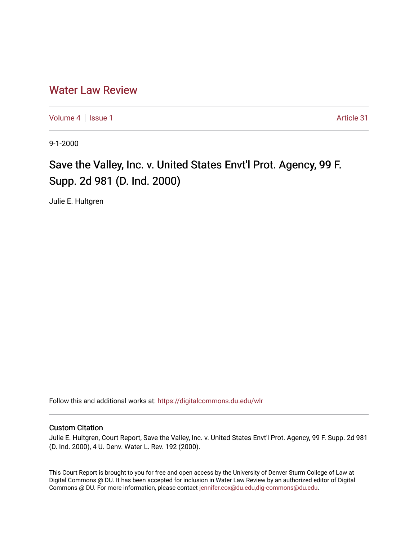# [Water Law Review](https://digitalcommons.du.edu/wlr)

[Volume 4](https://digitalcommons.du.edu/wlr/vol4) | [Issue 1](https://digitalcommons.du.edu/wlr/vol4/iss1) Article 31

9-1-2000

# Save the Valley, Inc. v. United States Envt'l Prot. Agency, 99 F. Supp. 2d 981 (D. Ind. 2000)

Julie E. Hultgren

Follow this and additional works at: [https://digitalcommons.du.edu/wlr](https://digitalcommons.du.edu/wlr?utm_source=digitalcommons.du.edu%2Fwlr%2Fvol4%2Fiss1%2F31&utm_medium=PDF&utm_campaign=PDFCoverPages) 

## Custom Citation

Julie E. Hultgren, Court Report, Save the Valley, Inc. v. United States Envt'l Prot. Agency, 99 F. Supp. 2d 981 (D. Ind. 2000), 4 U. Denv. Water L. Rev. 192 (2000).

This Court Report is brought to you for free and open access by the University of Denver Sturm College of Law at Digital Commons @ DU. It has been accepted for inclusion in Water Law Review by an authorized editor of Digital Commons @ DU. For more information, please contact [jennifer.cox@du.edu,dig-commons@du.edu.](mailto:jennifer.cox@du.edu,dig-commons@du.edu)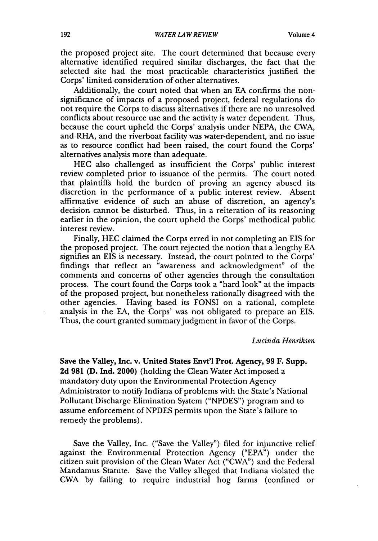the proposed project site. The court determined that because every alternative identified required similar discharges, the fact that the selected site had the most practicable characteristics justified the Corps' limited consideration of other alternatives.

Additionally, the court noted that when an EA confirms the nonsignificance of impacts of a proposed project, federal regulations do not require the Corps to discuss alternatives if there are no unresolved conflicts about resource use and the activity is water dependent. Thus, because the court upheld the Corps' analysis under NEPA, the CWA, and RHA, and the riverboat facility was water-dependent, and no issue as to resource conflict had been raised, the court found the Corps' alternatives analysis more than adequate.

HEC also challenged as insufficient the Corps' public interest review completed prior to issuance of the permits. The court noted that plaintiffs hold the burden of proving an agency abused its discretion in the performance of a public interest review. Absent affirmative evidence of such an abuse of discretion, an agency's decision cannot be disturbed. Thus, in a reiteration of its reasoning earlier in the opinion, the court upheld the Corps' methodical public interest review.

Finally, HEC claimed the Corps erred in not completing an EIS for the proposed project. The court rejected the notion that a lengthy **EA** signifies an EIS is necessary. Instead, the court pointed to the Corps' findings that reflect an "awareness and acknowledgment" of the comments and concerns of other agencies through the consultation process. The court found the Corps took a "hard look" at the impacts of the proposed project, but nonetheless rationally disagreed with the other agencies. Having based its FONSI on a rational, complete analysis in the EA, the Corps' was not obligated to prepare an EIS. Thus, the court granted summary judgment in favor of the Corps.

#### *Lucinda Henriksen*

**Save the Valley, Inc. v. United** States Envt'I Prot. Agency, **99 F. Supp. 2d 981 (D.** Ind. 2000) (holding the Clean Water Act imposed a mandatory duty upon the Environmental Protection Agency Administrator to notify Indiana of problems with the State's National Pollutant Discharge Elimination System **("NPDES")** program and to assume enforcement of **NPDES** permits upon the State's failure to remedy the problems).

Save the Valley, Inc. ("Save the Valley") filed for injunctive relief against the Environmental Protection Agency **("EPA")** under the citizen suit provision of the Clean Water Act ("CWA") and the Federal Mandamus Statute. Save the Valley alleged that Indiana violated the CWA by failing to require industrial hog farms (confined or